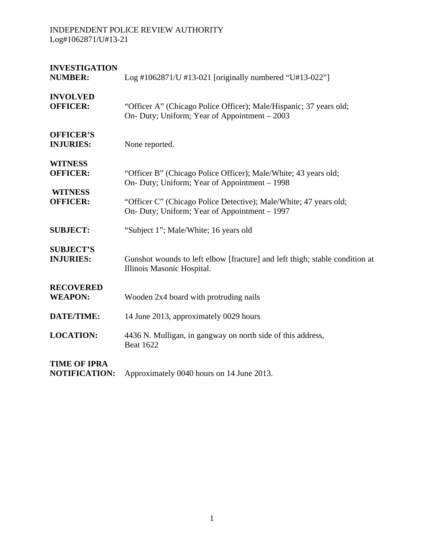| <b>INVESTIGATION</b><br><b>NUMBER:</b>              | Log #1062871/U #13-021 [originally numbered "U#13-022"]                                                                                   |
|-----------------------------------------------------|-------------------------------------------------------------------------------------------------------------------------------------------|
| <b>INVOLVED</b><br><b>OFFICER:</b>                  | "Officer A" (Chicago Police Officer); Male/Hispanic; 37 years old;<br>On- Duty; Uniform; Year of Appointment – 2003                       |
| <b>OFFICER'S</b><br><b>INJURIES:</b>                | None reported.                                                                                                                            |
| <b>WITNESS</b><br><b>OFFICER:</b><br><b>WITNESS</b> | "Officer B" (Chicago Police Officer); Male/White; 43 years old;<br>On- Duty; Uniform; Year of Appointment – 1998                          |
| <b>OFFICER:</b>                                     | "Officer C" (Chicago Police Detective); Male/White; 47 years old;<br>On- Duty; Uniform; Year of Appointment – 1997                        |
| <b>SUBJECT:</b>                                     | "Subject 1"; Male/White; 16 years old                                                                                                     |
| <b>SUBJECT'S</b><br><b>INJURIES:</b>                | Gunshot wounds to left elbow [fracture] and left thigh; stable condition at<br>Illinois Masonic Hospital.                                 |
| <b>RECOVERED</b><br><b>WEAPON:</b>                  | Wooden 2x4 board with protruding nails                                                                                                    |
| <b>DATE/TIME:</b>                                   | 14 June 2013, approximately 0029 hours                                                                                                    |
| <b>LOCATION:</b>                                    | 4436 N. Mulligan, in gangway on north side of this address,<br><b>Beat 1622</b>                                                           |
| <b>TIME OF IPRA</b><br>MOTIEICATION.                | $\Lambda$ memorihing to $\Lambda$ 1. $\Lambda$ 1. $\Lambda$ 1. $\Lambda$ 1. $\Lambda$ 1. $\Lambda$ 1. $\Lambda$ 1. $\Lambda$ 1. $\Lambda$ |

**NOTIFICATION:** Approximately 0040 hours on 14 June 2013.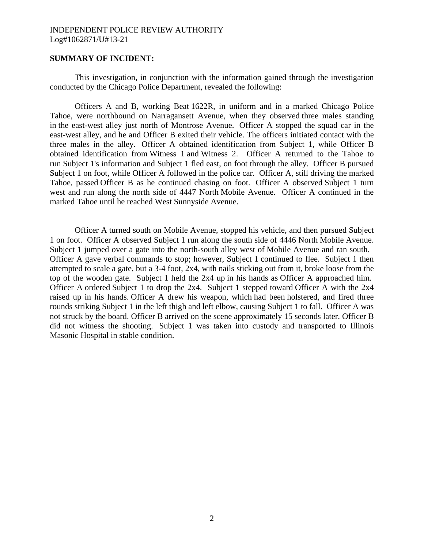### **SUMMARY OF INCIDENT:**

This investigation, in conjunction with the information gained through the investigation conducted by the Chicago Police Department, revealed the following:

Officers A and B, working Beat 1622R, in uniform and in a marked Chicago Police Tahoe, were northbound on Narragansett Avenue, when they observed three males standing in the east-west alley just north of Montrose Avenue. Officer A stopped the squad car in the east-west alley, and he and Officer B exited their vehicle. The officers initiated contact with the three males in the alley. Officer A obtained identification from Subject 1, while Officer B obtained identification from Witness 1 and Witness 2. Officer A returned to the Tahoe to run Subject 1's information and Subject 1 fled east, on foot through the alley. Officer B pursued Subject 1 on foot, while Officer A followed in the police car. Officer A, still driving the marked Tahoe, passed Officer B as he continued chasing on foot. Officer A observed Subject 1 turn west and run along the north side of 4447 North Mobile Avenue. Officer A continued in the marked Tahoe until he reached West Sunnyside Avenue.

Officer A turned south on Mobile Avenue, stopped his vehicle, and then pursued Subject 1 on foot. Officer A observed Subject 1 run along the south side of 4446 North Mobile Avenue. Subject 1 jumped over a gate into the north-south alley west of Mobile Avenue and ran south. Officer A gave verbal commands to stop; however, Subject 1 continued to flee. Subject 1 then attempted to scale a gate, but a 3-4 foot, 2x4, with nails sticking out from it, broke loose from the top of the wooden gate. Subject 1 held the 2x4 up in his hands as Officer A approached him. Officer A ordered Subject 1 to drop the 2x4. Subject 1 stepped toward Officer A with the 2x4 raised up in his hands. Officer A drew his weapon, which had been holstered, and fired three rounds striking Subject 1 in the left thigh and left elbow, causing Subject 1 to fall. Officer A was not struck by the board. Officer B arrived on the scene approximately 15 seconds later. Officer B did not witness the shooting. Subject 1 was taken into custody and transported to Illinois Masonic Hospital in stable condition.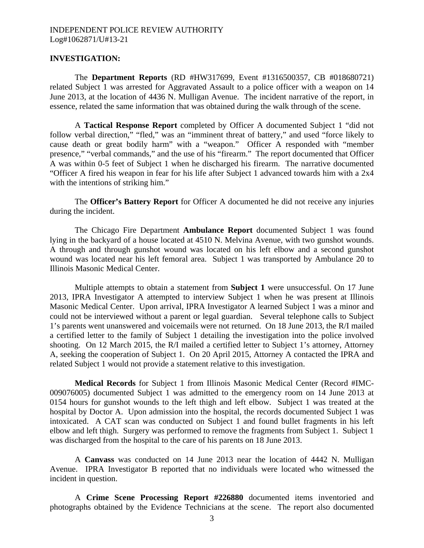#### **INVESTIGATION:**

The **Department Reports** (RD #HW317699, Event #1316500357, CB #018680721) related Subject 1 was arrested for Aggravated Assault to a police officer with a weapon on 14 June 2013, at the location of 4436 N. Mulligan Avenue. The incident narrative of the report, in essence, related the same information that was obtained during the walk through of the scene.

A **Tactical Response Report** completed by Officer A documented Subject 1 "did not follow verbal direction," "fled," was an "imminent threat of battery," and used "force likely to cause death or great bodily harm" with a "weapon." Officer A responded with "member presence," "verbal commands," and the use of his "firearm." The report documented that Officer A was within 0-5 feet of Subject 1 when he discharged his firearm. The narrative documented "Officer A fired his weapon in fear for his life after Subject 1 advanced towards him with a 2x4 with the intentions of striking him."

The **Officer's Battery Report** for Officer A documented he did not receive any injuries during the incident.

The Chicago Fire Department **Ambulance Report** documented Subject 1 was found lying in the backyard of a house located at 4510 N. Melvina Avenue, with two gunshot wounds. A through and through gunshot wound was located on his left elbow and a second gunshot wound was located near his left femoral area. Subject 1 was transported by Ambulance 20 to Illinois Masonic Medical Center.

Multiple attempts to obtain a statement from **Subject 1** were unsuccessful. On 17 June 2013, IPRA Investigator A attempted to interview Subject 1 when he was present at Illinois Masonic Medical Center. Upon arrival, IPRA Investigator A learned Subject 1 was a minor and could not be interviewed without a parent or legal guardian. Several telephone calls to Subject 1's parents went unanswered and voicemails were not returned. On 18 June 2013, the R/I mailed a certified letter to the family of Subject 1 detailing the investigation into the police involved shooting. On 12 March 2015, the R/I mailed a certified letter to Subject 1's attorney, Attorney A, seeking the cooperation of Subject 1. On 20 April 2015, Attorney A contacted the IPRA and related Subject 1 would not provide a statement relative to this investigation.

**Medical Records** for Subject 1 from Illinois Masonic Medical Center (Record #IMC-009076005) documented Subject 1 was admitted to the emergency room on 14 June 2013 at 0154 hours for gunshot wounds to the left thigh and left elbow. Subject 1 was treated at the hospital by Doctor A. Upon admission into the hospital, the records documented Subject 1 was intoxicated. A CAT scan was conducted on Subject 1 and found bullet fragments in his left elbow and left thigh. Surgery was performed to remove the fragments from Subject 1. Subject 1 was discharged from the hospital to the care of his parents on 18 June 2013.

A **Canvass** was conducted on 14 June 2013 near the location of 4442 N. Mulligan Avenue. IPRA Investigator B reported that no individuals were located who witnessed the incident in question.

A **Crime Scene Processing Report #226880** documented items inventoried and photographs obtained by the Evidence Technicians at the scene. The report also documented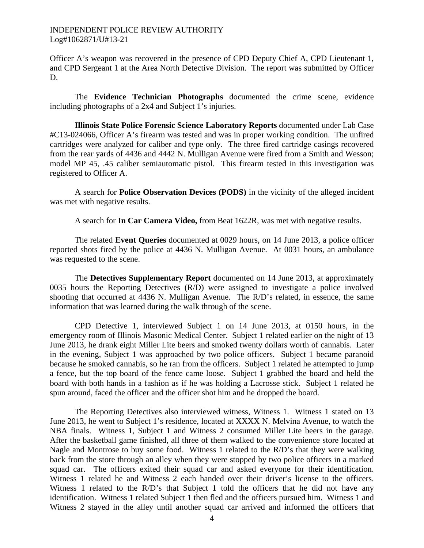Officer A's weapon was recovered in the presence of CPD Deputy Chief A, CPD Lieutenant 1, and CPD Sergeant 1 at the Area North Detective Division. The report was submitted by Officer D.

The **Evidence Technician Photographs** documented the crime scene, evidence including photographs of a 2x4 and Subject 1's injuries.

**Illinois State Police Forensic Science Laboratory Reports** documented under Lab Case #C13-024066, Officer A's firearm was tested and was in proper working condition. The unfired cartridges were analyzed for caliber and type only. The three fired cartridge casings recovered from the rear yards of 4436 and 4442 N. Mulligan Avenue were fired from a Smith and Wesson; model MP 45, .45 caliber semiautomatic pistol. This firearm tested in this investigation was registered to Officer A.

A search for **Police Observation Devices (PODS)** in the vicinity of the alleged incident was met with negative results.

A search for **In Car Camera Video,** from Beat 1622R, was met with negative results.

The related **Event Queries** documented at 0029 hours, on 14 June 2013, a police officer reported shots fired by the police at 4436 N. Mulligan Avenue. At 0031 hours, an ambulance was requested to the scene.

The **Detectives Supplementary Report** documented on 14 June 2013, at approximately 0035 hours the Reporting Detectives (R/D) were assigned to investigate a police involved shooting that occurred at 4436 N. Mulligan Avenue. The R/D's related, in essence, the same information that was learned during the walk through of the scene.

CPD Detective 1, interviewed Subject 1 on 14 June 2013, at 0150 hours, in the emergency room of Illinois Masonic Medical Center. Subject 1 related earlier on the night of 13 June 2013, he drank eight Miller Lite beers and smoked twenty dollars worth of cannabis. Later in the evening, Subject 1 was approached by two police officers. Subject 1 became paranoid because he smoked cannabis, so he ran from the officers. Subject 1 related he attempted to jump a fence, but the top board of the fence came loose. Subject 1 grabbed the board and held the board with both hands in a fashion as if he was holding a Lacrosse stick. Subject 1 related he spun around, faced the officer and the officer shot him and he dropped the board.

The Reporting Detectives also interviewed witness, Witness 1. Witness 1 stated on 13 June 2013, he went to Subject 1's residence, located at XXXX N. Melvina Avenue, to watch the NBA finals. Witness 1, Subject 1 and Witness 2 consumed Miller Lite beers in the garage. After the basketball game finished, all three of them walked to the convenience store located at Nagle and Montrose to buy some food. Witness 1 related to the R/D's that they were walking back from the store through an alley when they were stopped by two police officers in a marked squad car. The officers exited their squad car and asked everyone for their identification. Witness 1 related he and Witness 2 each handed over their driver's license to the officers. Witness 1 related to the R/D's that Subject 1 told the officers that he did not have any identification. Witness 1 related Subject 1 then fled and the officers pursued him. Witness 1 and Witness 2 stayed in the alley until another squad car arrived and informed the officers that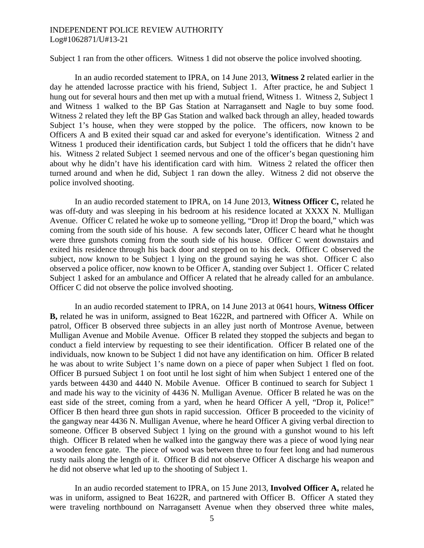Subject 1 ran from the other officers. Witness 1 did not observe the police involved shooting.

 In an audio recorded statement to IPRA, on 14 June 2013, **Witness 2** related earlier in the day he attended lacrosse practice with his friend, Subject 1. After practice, he and Subject 1 hung out for several hours and then met up with a mutual friend, Witness 1. Witness 2, Subject 1 and Witness 1 walked to the BP Gas Station at Narragansett and Nagle to buy some food. Witness 2 related they left the BP Gas Station and walked back through an alley, headed towards Subject 1's house, when they were stopped by the police. The officers, now known to be Officers A and B exited their squad car and asked for everyone's identification. Witness 2 and Witness 1 produced their identification cards, but Subject 1 told the officers that he didn't have his. Witness 2 related Subject 1 seemed nervous and one of the officer's began questioning him about why he didn't have his identification card with him. Witness 2 related the officer then turned around and when he did, Subject 1 ran down the alley. Witness 2 did not observe the police involved shooting.

In an audio recorded statement to IPRA, on 14 June 2013, **Witness Officer C,** related he was off-duty and was sleeping in his bedroom at his residence located at XXXX N. Mulligan Avenue. Officer C related he woke up to someone yelling, "Drop it! Drop the board," which was coming from the south side of his house. A few seconds later, Officer C heard what he thought were three gunshots coming from the south side of his house. Officer C went downstairs and exited his residence through his back door and stepped on to his deck. Officer C observed the subject, now known to be Subject 1 lying on the ground saying he was shot. Officer C also observed a police officer, now known to be Officer A, standing over Subject 1. Officer C related Subject 1 asked for an ambulance and Officer A related that he already called for an ambulance. Officer C did not observe the police involved shooting.

 In an audio recorded statement to IPRA, on 14 June 2013 at 0641 hours, **Witness Officer B,** related he was in uniform, assigned to Beat 1622R, and partnered with Officer A. While on patrol, Officer B observed three subjects in an alley just north of Montrose Avenue, between Mulligan Avenue and Mobile Avenue. Officer B related they stopped the subjects and began to conduct a field interview by requesting to see their identification. Officer B related one of the individuals, now known to be Subject 1 did not have any identification on him. Officer B related he was about to write Subject 1's name down on a piece of paper when Subject 1 fled on foot. Officer B pursued Subject 1 on foot until he lost sight of him when Subject 1 entered one of the yards between 4430 and 4440 N. Mobile Avenue. Officer B continued to search for Subject 1 and made his way to the vicinity of 4436 N. Mulligan Avenue. Officer B related he was on the east side of the street, coming from a yard, when he heard Officer A yell, "Drop it, Police!" Officer B then heard three gun shots in rapid succession. Officer B proceeded to the vicinity of the gangway near 4436 N. Mulligan Avenue, where he heard Officer A giving verbal direction to someone. Officer B observed Subject 1 lying on the ground with a gunshot wound to his left thigh. Officer B related when he walked into the gangway there was a piece of wood lying near a wooden fence gate. The piece of wood was between three to four feet long and had numerous rusty nails along the length of it. Officer B did not observe Officer A discharge his weapon and he did not observe what led up to the shooting of Subject 1.

In an audio recorded statement to IPRA, on 15 June 2013, **Involved Officer A,** related he was in uniform, assigned to Beat 1622R, and partnered with Officer B. Officer A stated they were traveling northbound on Narragansett Avenue when they observed three white males,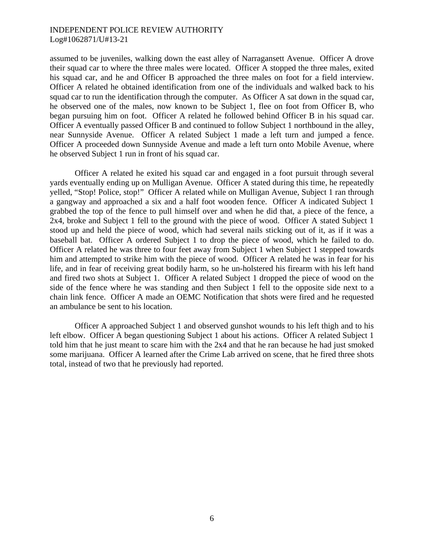assumed to be juveniles, walking down the east alley of Narragansett Avenue. Officer A drove their squad car to where the three males were located. Officer A stopped the three males, exited his squad car, and he and Officer B approached the three males on foot for a field interview. Officer A related he obtained identification from one of the individuals and walked back to his squad car to run the identification through the computer. As Officer A sat down in the squad car, he observed one of the males, now known to be Subject 1, flee on foot from Officer B, who began pursuing him on foot. Officer A related he followed behind Officer B in his squad car. Officer A eventually passed Officer B and continued to follow Subject 1 northbound in the alley, near Sunnyside Avenue. Officer A related Subject 1 made a left turn and jumped a fence. Officer A proceeded down Sunnyside Avenue and made a left turn onto Mobile Avenue, where he observed Subject 1 run in front of his squad car.

 Officer A related he exited his squad car and engaged in a foot pursuit through several yards eventually ending up on Mulligan Avenue. Officer A stated during this time, he repeatedly yelled, "Stop! Police, stop!" Officer A related while on Mulligan Avenue, Subject 1 ran through a gangway and approached a six and a half foot wooden fence. Officer A indicated Subject 1 grabbed the top of the fence to pull himself over and when he did that, a piece of the fence, a 2x4, broke and Subject 1 fell to the ground with the piece of wood. Officer A stated Subject 1 stood up and held the piece of wood, which had several nails sticking out of it, as if it was a baseball bat. Officer A ordered Subject 1 to drop the piece of wood, which he failed to do. Officer A related he was three to four feet away from Subject 1 when Subject 1 stepped towards him and attempted to strike him with the piece of wood. Officer A related he was in fear for his life, and in fear of receiving great bodily harm, so he un-holstered his firearm with his left hand and fired two shots at Subject 1. Officer A related Subject 1 dropped the piece of wood on the side of the fence where he was standing and then Subject 1 fell to the opposite side next to a chain link fence. Officer A made an OEMC Notification that shots were fired and he requested an ambulance be sent to his location.

 Officer A approached Subject 1 and observed gunshot wounds to his left thigh and to his left elbow. Officer A began questioning Subject 1 about his actions. Officer A related Subject 1 told him that he just meant to scare him with the 2x4 and that he ran because he had just smoked some marijuana. Officer A learned after the Crime Lab arrived on scene, that he fired three shots total, instead of two that he previously had reported.